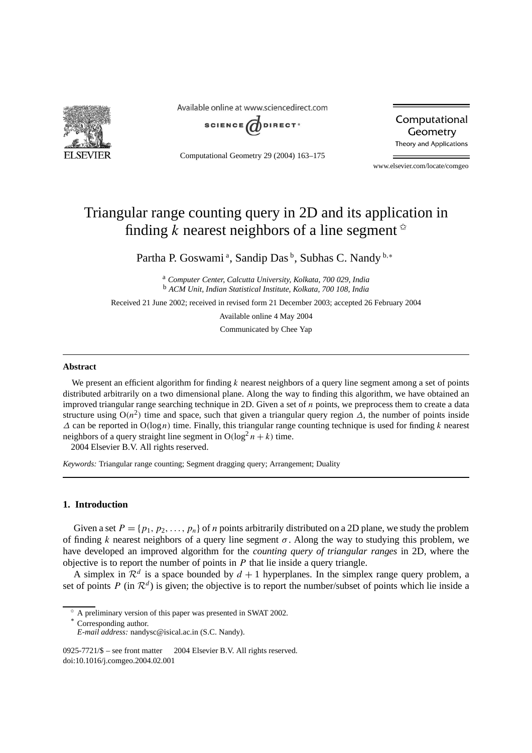

Available online at www.sciencedirect.com



Computational Geometry 29 (2004) 163–175

Computational Geometry Theory and Applications

www.elsevier.com/locate/comgeo

# Triangular range counting query in 2D and its application in finding *k* nearest neighbors of a line segment  $\alpha$

Partha P. Goswami<sup>a</sup>, Sandip Das<sup>b</sup>, Subhas C. Nandy<sup>b,\*</sup>

<sup>a</sup> *Computer Center, Calcutta University, Kolkata, 700 029, India* <sup>b</sup> *ACM Unit, Indian Statistical Institute, Kolkata, 700 108, India*

Received 21 June 2002; received in revised form 21 December 2003; accepted 26 February 2004

Available online 4 May 2004

Communicated by Chee Yap

## **Abstract**

We present an efficient algorithm for finding *k* nearest neighbors of a query line segment among a set of points distributed arbitrarily on a two dimensional plane. Along the way to finding this algorithm, we have obtained an improved triangular range searching technique in 2D. Given a set of *n* points, we preprocess them to create a data structure using  $O(n^2)$  time and space, such that given a triangular query region  $\Delta$ , the number of points inside *∆* can be reported in O*(*log*n)* time. Finally, this triangular range counting technique is used for finding *k* nearest neighbors of a query straight line segment in  $O(log^2 n + k)$  time.

2004 Elsevier B.V. All rights reserved.

*Keywords:* Triangular range counting; Segment dragging query; Arrangement; Duality

## **1. Introduction**

Given a set  $P = \{p_1, p_2, \ldots, p_n\}$  of *n* points arbitrarily distributed on a 2D plane, we study the problem of finding *k* nearest neighbors of a query line segment  $\sigma$ . Along the way to studying this problem, we have developed an improved algorithm for the *counting query of triangular ranges* in 2D, where the objective is to report the number of points in *P* that lie inside a query triangle.

A simplex in  $\mathcal{R}^d$  is a space bounded by  $d+1$  hyperplanes. In the simplex range query problem, a set of points *P* (in  $\mathcal{R}^d$ ) is given; the objective is to report the number/subset of points which lie inside a

Corresponding author.

<sup>✩</sup> A preliminary version of this paper was presented in SWAT 2002.

*E-mail address:* nandysc@isical.ac.in (S.C. Nandy).

<sup>0925-7721/\$ –</sup> see front matter © 2004 Elsevier B.V. All rights reserved. doi:10.1016/j.comgeo.2004.02.001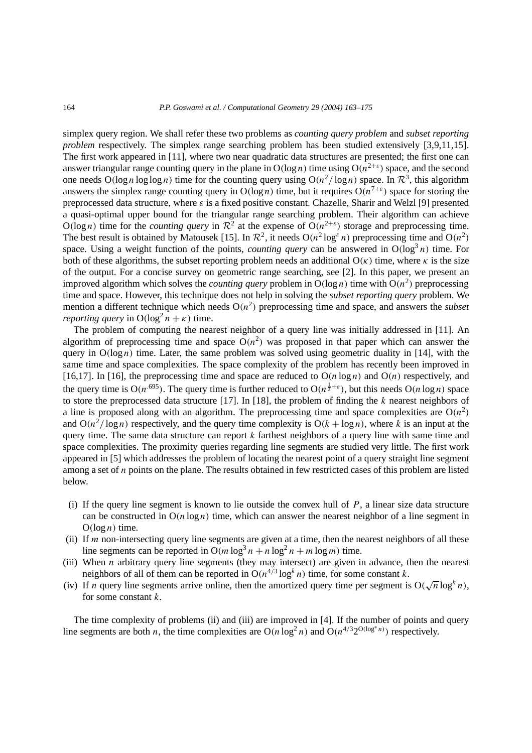simplex query region. We shall refer these two problems as *counting query problem* and *subset reporting problem* respectively. The simplex range searching problem has been studied extensively [3,9,11,15]. The first work appeared in [11], where two near quadratic data structures are presented; the first one can answer triangular range counting query in the plane in  $O(log n)$  time using  $O(n^{2+\epsilon})$  space, and the second one needs  $O(\log n \log \log n)$  time for the counting query using  $O(n^2/\log n)$  space. In  $\mathbb{R}^3$ , this algorithm answers the simplex range counting query in  $O(\log n)$  time, but it requires  $O(n^{7+\epsilon})$  space for storing the preprocessed data structure, where  $\varepsilon$  is a fixed positive constant. Chazelle, Sharir and Welzl [9] presented a quasi-optimal upper bound for the triangular range searching problem. Their algorithm can achieve  $O(\log n)$  time for the *counting query* in  $\mathcal{R}^2$  at the expense of  $O(n^{2+\epsilon})$  storage and preprocessing time. The best result is obtained by Matousek [15]. In  $\mathbb{R}^2$ , it needs  $O(n^2 \log^\varepsilon n)$  preprocessing time and  $O(n^2)$ space. Using a weight function of the points, *counting query* can be answered in  $O(log^3 n)$  time. For both of these algorithms, the subset reporting problem needs an additional  $O(\kappa)$  time, where  $\kappa$  is the size of the output. For a concise survey on geometric range searching, see [2]. In this paper, we present an improved algorithm which solves the *counting query* problem in  $O(log n)$  time with  $O(n^2)$  preprocessing time and space. However, this technique does not help in solving the *subset reporting query* problem. We mention a different technique which needs  $O(n^2)$  preprocessing time and space, and answers the *subset reporting query* in  $O(log^2 n + \kappa)$  time.

The problem of computing the nearest neighbor of a query line was initially addressed in [11]. An algorithm of preprocessing time and space  $O(n^2)$  was proposed in that paper which can answer the query in  $O(log n)$  time. Later, the same problem was solved using geometric duality in [14], with the same time and space complexities. The space complexity of the problem has recently been improved in [16,17]. In [16], the preprocessing time and space are reduced to  $O(n \log n)$  and  $O(n)$  respectively, and the query time is  $O(n^{.695})$ . The query time is further reduced to  $O(n^{\frac{1}{2}+\epsilon})$ , but this needs  $O(n \log n)$  space to store the preprocessed data structure [17]. In [18], the problem of finding the *k* nearest neighbors of a line is proposed along with an algorithm. The preprocessing time and space complexities are  $O(n^2)$ and  $O(n^2/\log n)$  respectively, and the query time complexity is  $O(k + \log n)$ , where k is an input at the query time. The same data structure can report *k* farthest neighbors of a query line with same time and space complexities. The proximity queries regarding line segments are studied very little. The first work appeared in [5] which addresses the problem of locating the nearest point of a query straight line segment among a set of *n* points on the plane. The results obtained in few restricted cases of this problem are listed below.

- (i) If the query line segment is known to lie outside the convex hull of *P*, a linear size data structure can be constructed in  $O(n \log n)$  time, which can answer the nearest neighbor of a line segment in  $O(log n)$  time.
- (ii) If *m* non-intersecting query line segments are given at a time, then the nearest neighbors of all these line segments can be reported in  $O(m \log^3 n + n \log^2 n + m \log m)$  time.
- (iii) When *n* arbitrary query line segments (they may intersect) are given in advance, then the nearest neighbors of all of them can be reported in  $O(n^{4/3} \log^k n)$  time, for some constant *k*.
- (iv) If *n* query line segments arrive online, then the amortized query time per segment is  $O(\sqrt{n} \log^k n)$ , for some constant *k*.

The time complexity of problems (ii) and (iii) are improved in [4]. If the number of points and query line segments are both *n*, the time complexities are  $O(n \log^2 n)$  and  $O(n^{4/3} 2^{O(\log^* n)})$  respectively.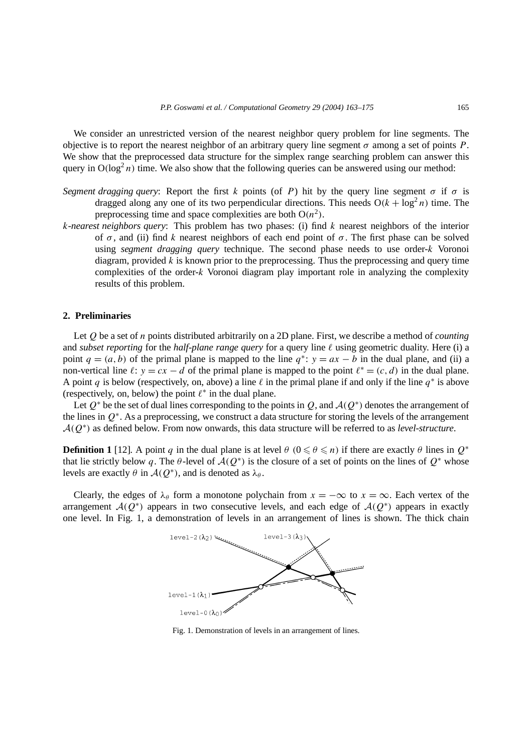We consider an unrestricted version of the nearest neighbor query problem for line segments. The objective is to report the nearest neighbor of an arbitrary query line segment *σ* among a set of points *P*. We show that the preprocessed data structure for the simplex range searching problem can answer this query in  $O(log<sup>2</sup> n)$  time. We also show that the following queries can be answered using our method:

- *Segment dragging query*: Report the first *k* points (of *P*) hit by the query line segment  $\sigma$  if  $\sigma$  is dragged along any one of its two perpendicular directions. This needs  $O(k + \log^2 n)$  time. The preprocessing time and space complexities are both  $O(n^2)$ .
- *k-nearest neighbors query*: This problem has two phases: (i) find *k* nearest neighbors of the interior of *σ* , and (ii) find *k* nearest neighbors of each end point of *σ* . The first phase can be solved using *segment dragging query* technique. The second phase needs to use order-*k* Voronoi diagram, provided *k* is known prior to the preprocessing. Thus the preprocessing and query time complexities of the order-*k* Voronoi diagram play important role in analyzing the complexity results of this problem.

## **2. Preliminaries**

Let *Q* be a set of *n* points distributed arbitrarily on a 2D plane. First, we describe a method of *counting* and *subset reporting* for the *half-plane range query* for a query line  $\ell$  using geometric duality. Here (i) a point  $q = (a, b)$  of the primal plane is mapped to the line  $q^*$ :  $y = ax - b$  in the dual plane, and (ii) a non-vertical line  $\ell: y = cx - d$  of the primal plane is mapped to the point  $\ell^* = (c, d)$  in the dual plane. A point *q* is below (respectively, on, above) a line  $\ell$  in the primal plane if and only if the line  $q^*$  is above (respectively, on, below) the point  $\ell^*$  in the dual plane.

Let *<sup>Q</sup>*<sup>∗</sup> be the set of dual lines corresponding to the points in *<sup>Q</sup>*, and <sup>A</sup>*(Q*<sup>∗</sup>*)* denotes the arrangement of the lines in *Q*<sup>∗</sup>. As a preprocessing, we construct a data structure for storing the levels of the arrangement <sup>A</sup>*(Q*<sup>∗</sup>*)* as defined below. From now onwards, this data structure will be referred to as *level-structure*.

**Definition 1** [12]. A point *q* in the dual plane is at level  $\theta$  ( $0 \le \theta \le n$ ) if there are exactly  $\theta$  lines in  $Q^*$ that lie strictly below q. The  $\theta$ -level of  $\mathcal{A}(Q^*)$  is the closure of a set of points on the lines of  $Q^*$  whose levels are exactly *θ* in  $\mathcal{A}(Q^*)$ , and is denoted as  $\lambda_\theta$ .

Clearly, the edges of  $\lambda_{\theta}$  form a monotone polychain from  $x = -\infty$  to  $x = \infty$ . Each vertex of the arrangement  $\mathcal{A}(Q^*)$  appears in two consecutive levels, and each edge of  $\mathcal{A}(Q^*)$  appears in exactly one level. In Fig. 1, a demonstration of levels in an arrangement of lines is shown. The thick chain



Fig. 1. Demonstration of levels in an arrangement of lines.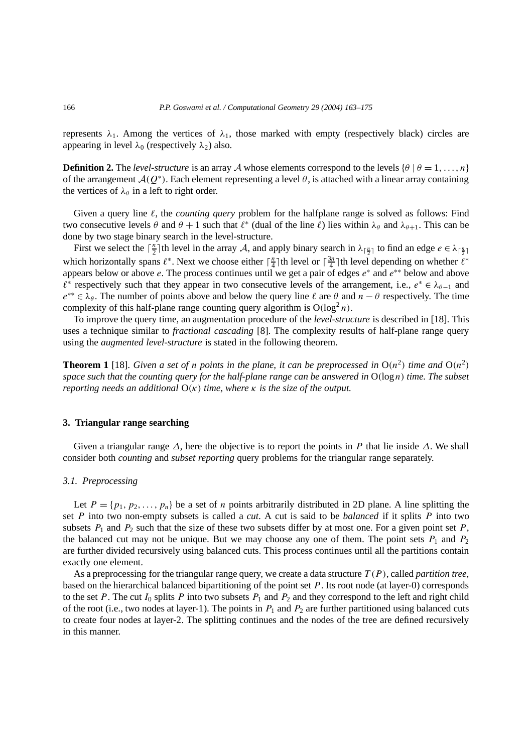represents  $\lambda_1$ . Among the vertices of  $\lambda_1$ , those marked with empty (respectively black) circles are appearing in level  $\lambda_0$  (respectively  $\lambda_2$ ) also.

**Definition 2.** The *level-structure* is an array A whose elements correspond to the levels  $\{\theta | \theta = 1, \ldots, n\}$ of the arrangement  $A(Q^*)$ . Each element representing a level  $\theta$ , is attached with a linear array containing the vertices of  $\lambda_{\theta}$  in a left to right order.

Given a query line  $\ell$ , the *counting query* problem for the halfplane range is solved as follows: Find two consecutive levels  $\theta$  and  $\theta + 1$  such that  $\ell^*$  (dual of the line  $\ell$ ) lies within  $\lambda_{\theta}$  and  $\lambda_{\theta+1}$ . This can be done by two stage binary search in the level-structure.

First we select the  $\lceil \frac{n}{2} \rceil$ th level in the array A, and apply binary search in  $\lambda_{\lceil \frac{n}{2} \rceil}$  to find an edge  $e \in \lambda_{\lceil \frac{n}{2} \rceil}$ which horizontally spans  $\ell^*$ . Next we choose either  $\lceil \frac{n}{4} \rceil$ th level or  $\lceil \frac{3n}{4} \rceil$ th level depending on whether  $\ell^*$ appears below or above *e*. The process continues until we get a pair of edges *e*<sup>∗</sup> and *e*∗∗ below and above  $\ell^*$  respectively such that they appear in two consecutive levels of the arrangement, i.e.,  $e^* \in \lambda_{\theta-1}$  and  $e^{**} \in \lambda_{\theta}$ . The number of points above and below the query line  $\ell$  are  $\theta$  and  $n - \theta$  respectively. The time complexity of this half-plane range counting query algorithm is  $O(log^2 n)$ .

To improve the query time, an augmentation procedure of the *level-structure* is described in [18]. This uses a technique similar to *fractional cascading* [8]. The complexity results of half-plane range query using the *augmented level-structure* is stated in the following theorem.

**Theorem 1** [18]. *Given a set of n points in the plane, it can be preprocessed in*  $O(n^2)$  *time and*  $O(n^2)$ *space such that the counting query for the half-plane range can be answered in* O*(*log *n) time. The subset reporting needs an additional* O*(κ) time, where κ is the size of the output.*

## **3. Triangular range searching**

Given a triangular range *∆*, here the objective is to report the points in *P* that lie inside *∆*. We shall consider both *counting* and *subset reporting* query problems for the triangular range separately.

## *3.1. Preprocessing*

Let  $P = \{p_1, p_2, \ldots, p_n\}$  be a set of *n* points arbitrarily distributed in 2D plane. A line splitting the set *P* into two non-empty subsets is called a *cut*. A cut is said to be *balanced* if it splits *P* into two subsets  $P_1$  and  $P_2$  such that the size of these two subsets differ by at most one. For a given point set  $P$ , the balanced cut may not be unique. But we may choose any one of them. The point sets  $P_1$  and  $P_2$ are further divided recursively using balanced cuts. This process continues until all the partitions contain exactly one element.

As a preprocessing for the triangular range query, we create a data structure *T (P )*, called *partition tree*, based on the hierarchical balanced bipartitioning of the point set *P*. Its root node (at layer-0) corresponds to the set  $P$ . The cut  $I_0$  splits  $P$  into two subsets  $P_1$  and  $P_2$  and they correspond to the left and right child of the root (i.e., two nodes at layer-1). The points in  $P_1$  and  $P_2$  are further partitioned using balanced cuts to create four nodes at layer-2. The splitting continues and the nodes of the tree are defined recursively in this manner.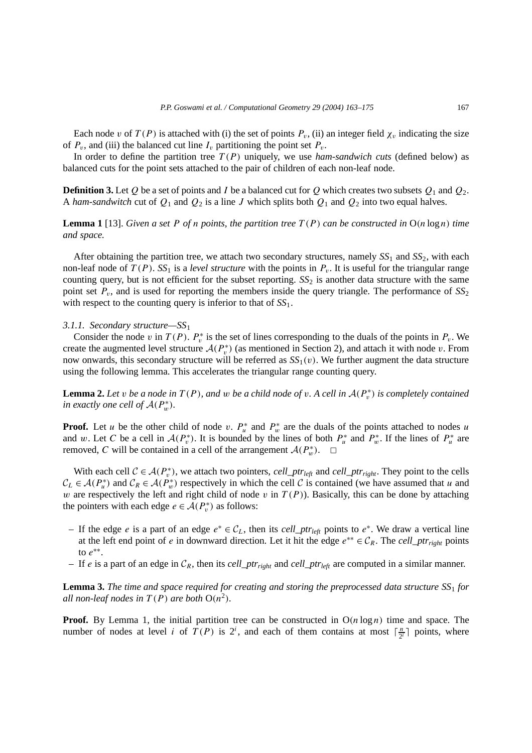Each node *v* of  $T(P)$  is attached with (i) the set of points  $P_v$ , (ii) an integer field  $\chi_v$  indicating the size of  $P_v$ , and (iii) the balanced cut line  $I_v$  partitioning the point set  $P_v$ .

In order to define the partition tree  $T(P)$  uniquely, we use *ham-sandwich cuts* (defined below) as balanced cuts for the point sets attached to the pair of children of each non-leaf node.

**Definition 3.** Let *Q* be a set of points and *I* be a balanced cut for *Q* which creates two subsets  $Q_1$  and  $Q_2$ . A *ham-sandwitch* cut of  $Q_1$  and  $Q_2$  is a line *J* which splits both  $Q_1$  and  $Q_2$  into two equal halves.

**Lemma 1** [13]. *Given a set P of n points, the partition tree*  $T(P)$  *can be constructed in*  $O(n \log n)$  *time and space.*

After obtaining the partition tree, we attach two secondary structures, namely  $SS_1$  and  $SS_2$ , with each non-leaf node of  $T(P)$ . *SS*<sub>1</sub> is a *level structure* with the points in  $P_v$ . It is useful for the triangular range counting query, but is not efficient for the subset reporting.  $SS_2$  is another data structure with the same point set  $P_v$ , and is used for reporting the members inside the query triangle. The performance of  $SS_2$ with respect to the counting query is inferior to that of *SS*1.

## *3.1.1. Secondary structure—SS*<sup>1</sup>

Consider the node *v* in  $T(P)$ .  $P_v^*$  is the set of lines corresponding to the duals of the points in  $P_v$ . We create the augmented level structure  $A(P_v^*)$  (as mentioned in Section 2), and attach it with node *v*. From now onwards, this secondary structure will be referred as  $SS<sub>1</sub>(v)$ . We further augment the data structure using the following lemma. This accelerates the triangular range counting query.

**Lemma 2.** Let *v* be a node in  $T(P)$ , and *w* be a child node of *v*. A cell in  $A(P_v^*)$  is completely contained *in exactly one cell of*  $\mathcal{A}(P_w^*)$ *.* 

**Proof.** Let *u* be the other child of node *v*.  $P_u^*$  and  $P_w^*$  are the duals of the points attached to nodes *u* and *w*. Let *C* be a cell in  $A(P_v^*)$ . It is bounded by the lines of both  $P_u^*$  and  $P_w^*$ . If the lines of  $P_u^*$  are removed, *C* will be contained in a cell of the arrangement  $\mathcal{A}(P_w^*)$ .  $\Box$ 

With each cell  $C \in \mathcal{A}(P_v^*)$ , we attach two pointers, *cell\_ptr<sub>left</sub>* and *cell\_ptr<sub>right</sub>*. They point to the cells  $C_L \in \mathcal{A}(P_u^*)$  and  $C_R \in \mathcal{A}(P_w^*)$  respectively in which the cell C is contained (we have assumed that *u* and *w* are respectively the left and right child of node *v* in  $T(P)$ ). Basically, this can be done by attaching the pointers with each edge  $e \in \mathcal{A}(P_v^*)$  as follows:

- If the edge *<sup>e</sup>* is a part of an edge *<sup>e</sup>*<sup>∗</sup> <sup>∈</sup> <sup>C</sup>*L*, then its *cell*\_*ptrleft* points to *<sup>e</sup>*<sup>∗</sup>. We draw a vertical line at the left end point of *e* in downward direction. Let it hit the edge  $e^{**} \in C_R$ . The *cell\_ptr*<sub>right</sub> points to *e*∗∗.
- If *e* is a part of an edge in  $C_R$ , then its *cell\_ptr<sub>right</sub>* and *cell\_ptr*<sub>left</sub> are computed in a similar manner.

**Lemma 3.** *The time and space required for creating and storing the preprocessed data structure SS*<sup>1</sup> *for all non-leaf nodes in*  $T(P)$  *are both*  $O(n^2)$ *.* 

**Proof.** By Lemma 1, the initial partition tree can be constructed in  $O(n \log n)$  time and space. The number of nodes at level *i* of  $T(P)$  is  $2^i$ , and each of them contains at most  $\lceil \frac{n}{2^i} \rceil$  points, where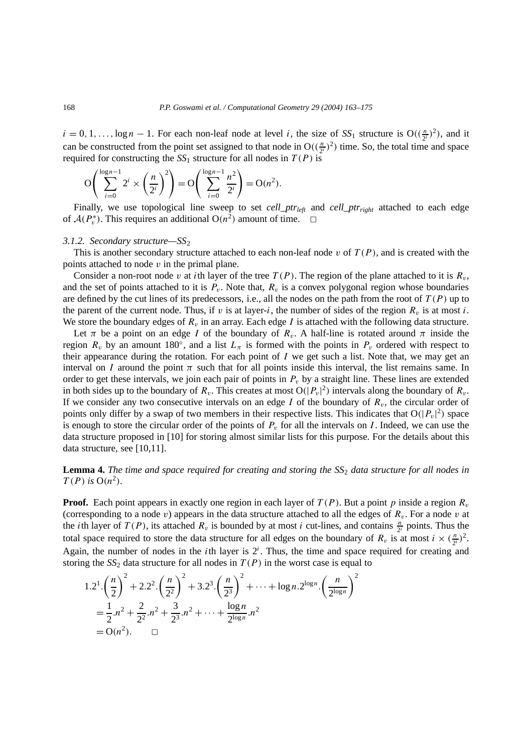$i = 0, 1, \ldots, \log n - 1$ . For each non-leaf node at level *i*, the size of *SS*<sub>1</sub> structure is  $O((\frac{n}{2^i})^2)$ , and it can be constructed from the point set assigned to that node in  $O((\frac{n}{2^i})^2)$  time. So, the total time and space required for constructing the  $SS_1$  structure for all nodes in  $T(P)$  is

$$
O\left(\sum_{i=0}^{\log n-1} 2^i \times \left(\frac{n}{2^i}\right)^2\right) = O\left(\sum_{i=0}^{\log n-1} \frac{n^2}{2^i}\right) = O(n^2).
$$

Finally, we use topological line sweep to set *cell\_ptr*<sub>left</sub> and *cell\_ptr*<sub>right</sub> attached to each edge of  $\mathcal{A}(P_v^*)$ . This requires an additional  $O(n^2)$  amount of time.  $\Box$ 

### *3.1.2. Secondary structure—SS*<sup>2</sup>

This is another secondary structure attached to each non-leaf node  $v$  of  $T(P)$ , and is created with the points attached to node *v* in the primal plane.

Consider a non-root node *v* at *i*th layer of the tree  $T(P)$ . The region of the plane attached to it is  $R_v$ , and the set of points attached to it is  $P_v$ . Note that,  $R_v$  is a convex polygonal region whose boundaries are defined by the cut lines of its predecessors, i.e., all the nodes on the path from the root of  $T(P)$  up to the parent of the current node. Thus, if *v* is at layer-*i*, the number of sides of the region  $R_v$  is at most *i*. We store the boundary edges of  $R_v$  in an array. Each edge  $I$  is attached with the following data structure.

Let  $\pi$  be a point on an edge *I* of the boundary of  $R_v$ . A half-line is rotated around  $\pi$  inside the region  $R_v$  by an amount 180°, and a list  $L_\pi$  is formed with the points in  $P_v$  ordered with respect to their appearance during the rotation. For each point of *I* we get such a list. Note that, we may get an interval on *I* around the point  $\pi$  such that for all points inside this interval, the list remains same. In order to get these intervals, we join each pair of points in  $P<sub>v</sub>$  by a straight line. These lines are extended in both sides up to the boundary of  $R_v$ . This creates at most  $O(|P_v|^2)$  intervals along the boundary of  $R_v$ . If we consider any two consecutive intervals on an edge  $I$  of the boundary of  $R<sub>v</sub>$ , the circular order of points only differ by a swap of two members in their respective lists. This indicates that  $O(|P_v|^2)$  space is enough to store the circular order of the points of  $P<sub>v</sub>$  for all the intervals on *I*. Indeed, we can use the data structure proposed in [10] for storing almost similar lists for this purpose. For the details about this data structure, see [10,11].

**Lemma 4.** *The time and space required for creating and storing the SS*<sup>2</sup> *data structure for all nodes in*  $T(P)$  *is*  $O(n^2)$ *.* 

**Proof.** Each point appears in exactly one region in each layer of  $T(P)$ . But a point p inside a region  $R_v$ (corresponding to a node *v*) appears in the data structure attached to all the edges of  $R_v$ . For a node *v* at the *i*th layer of  $T(P)$ , its attached  $R_v$  is bounded by at most *i* cut-lines, and contains  $\frac{n}{2^i}$  points. Thus the total space required to store the data structure for all edges on the boundary of  $R_v$  is at most  $i \times (\frac{n}{2^i})^2$ . Again, the number of nodes in the *i*th layer is  $2^i$ . Thus, the time and space required for creating and storing the  $SS_2$  data structure for all nodes in  $T(P)$  in the worst case is equal to

$$
1.2^{1} \cdot \left(\frac{n}{2}\right)^{2} + 2.2^{2} \cdot \left(\frac{n}{2^{2}}\right)^{2} + 3.2^{3} \cdot \left(\frac{n}{2^{3}}\right)^{2} + \dots + \log n \cdot 2^{\log n} \cdot \left(\frac{n}{2^{\log n}}\right)^{2}
$$
  
=  $\frac{1}{2} \cdot n^{2} + \frac{2}{2^{2}} \cdot n^{2} + \frac{3}{2^{3}} \cdot n^{2} + \dots + \frac{\log n}{2^{\log n}} \cdot n^{2}$   
=  $O(n^{2})$ .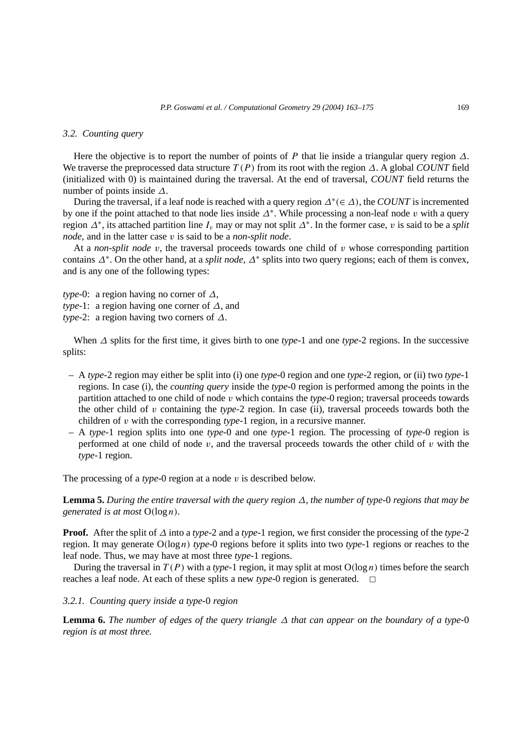# *3.2. Counting query*

Here the objective is to report the number of points of *P* that lie inside a triangular query region *∆*. We traverse the preprocessed data structure *T (P )* from its root with the region *∆*. A global *COUNT* field (initialized with 0) is maintained during the traversal. At the end of traversal, *COUNT* field returns the number of points inside *∆*.

During the traversal, if a leaf node is reached with a query region *∆*<sup>∗</sup>*(*∈ *∆)*, the *COUNT* is incremented by one if the point attached to that node lies inside *∆*<sup>∗</sup>. While processing a non-leaf node *v* with a query region *∆*<sup>∗</sup>, its attached partition line *Iv* may or may not split *∆*<sup>∗</sup>. In the former case, *v* is said to be a *split node*, and in the latter case *v* is said to be a *non-split node*.

At a *non-split node*  $v$ , the traversal proceeds towards one child of  $v$  whose corresponding partition contains *∆*<sup>∗</sup>. On the other hand, at a *split node*, *∆*<sup>∗</sup> splits into two query regions; each of them is convex, and is any one of the following types:

*type-*0: a region having no corner of *∆*, *type-*1: a region having one corner of *∆*, and *type-*2: a region having two corners of *∆*.

When *∆* splits for the first time, it gives birth to one *type*-1 and one *type*-2 regions. In the successive splits:

- A *type*-2 region may either be split into (i) one *type*-0 region and one *type*-2 region, or (ii) two *type*-1 regions. In case (i), the *counting query* inside the *type*-0 region is performed among the points in the partition attached to one child of node *v* which contains the *type*-0 region; traversal proceeds towards the other child of *v* containing the *type*-2 region. In case (ii), traversal proceeds towards both the children of *v* with the corresponding *type*-1 region, in a recursive manner.
- A *type*-1 region splits into one *type*-0 and one *type*-1 region. The processing of *type*-0 region is performed at one child of node *v*, and the traversal proceeds towards the other child of *v* with the *type*-1 region.

The processing of a *type*-0 region at a node *v* is described below.

**Lemma 5.** *During the entire traversal with the query region ∆, the number of type-*0 *regions that may be generated is at most* O*(*log *n).*

**Proof.** After the split of *∆* into a *type*-2 and a *type*-1 region, we first consider the processing of the *type*-2 region. It may generate O*(*log *n) type*-0 regions before it splits into two *type*-1 regions or reaches to the leaf node. Thus, we may have at most three *type*-1 regions.

During the traversal in  $T(P)$  with a *type*-1 region, it may split at most  $O(log n)$  times before the search reaches a leaf node. At each of these splits a new *type*-0 region is generated.  $\Box$ 

# *3.2.1. Counting query inside a type-*0 *region*

**Lemma 6.** *The number of edges of the query triangle ∆ that can appear on the boundary of a type-*0 *region is at most three.*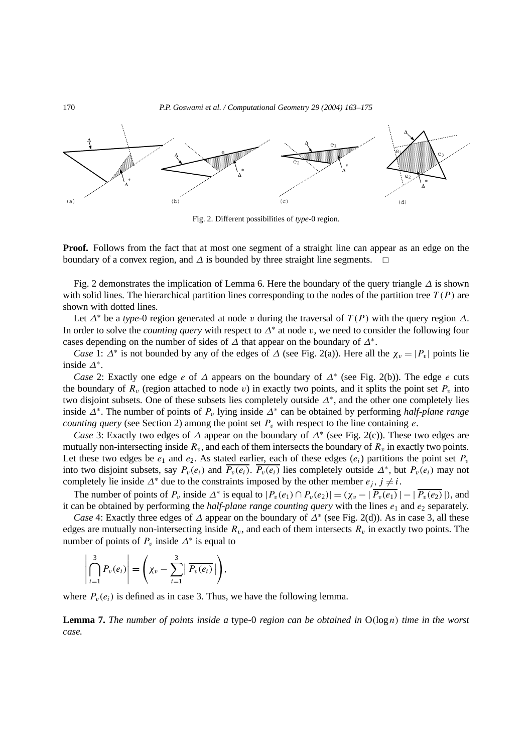

Fig. 2. Different possibilities of *type*-0 region.

**Proof.** Follows from the fact that at most one segment of a straight line can appear as an edge on the boundary of a convex region, and  $\Delta$  is bounded by three straight line segments.  $\Box$ 

Fig. 2 demonstrates the implication of Lemma 6. Here the boundary of the query triangle *∆* is shown with solid lines. The hierarchical partition lines corresponding to the nodes of the partition tree  $T(P)$  are shown with dotted lines.

Let *∆*<sup>∗</sup> be a *type*-0 region generated at node *v* during the traversal of *T (P )* with the query region *∆*. In order to solve the *counting query* with respect to *∆*<sup>∗</sup> at node *v*, we need to consider the following four cases depending on the number of sides of *∆* that appear on the boundary of *∆*<sup>∗</sup>.

*Case* 1:  $\Delta^*$  is not bounded by any of the edges of  $\Delta$  (see Fig. 2(a)). Here all the  $\chi_v = |P_v|$  points lie inside *∆*<sup>∗</sup>.

*Case* 2: Exactly one edge *e* of *∆* appears on the boundary of *∆*<sup>∗</sup> (see Fig. 2(b)). The edge *e* cuts the boundary of  $R_v$  (region attached to node  $v$ ) in exactly two points, and it splits the point set  $P_v$  into two disjoint subsets. One of these subsets lies completely outside *∆*<sup>∗</sup>, and the other one completely lies inside *∆*<sup>∗</sup>. The number of points of *Pv* lying inside *∆*<sup>∗</sup> can be obtained by performing *half-plane range counting query* (see Section 2) among the point set  $P<sub>v</sub>$  with respect to the line containing *e*.

*Case* 3: Exactly two edges of *∆* appear on the boundary of *∆*<sup>∗</sup> (see Fig. 2(c)). These two edges are mutually non-intersecting inside  $R_v$ , and each of them intersects the boundary of  $R_v$  in exactly two points. Let these two edges be  $e_1$  and  $e_2$ . As stated earlier, each of these edges  $(e_i)$  partitions the point set  $P_v$ into two disjoint subsets, say  $P_v(e_i)$  and  $\overline{P_v(e_i)}$ .  $\overline{P_v(e_i)}$  lies completely outside  $\Delta^*$ , but  $P_v(e_i)$  may not completely lie inside  $\Delta^*$  due to the constraints imposed by the other member  $e_j$ ,  $j \neq i$ .

The number of points of  $P_v$  inside  $\Delta^*$  is equal to  $|P_v(e_1) \cap P_v(e_2)| = (\chi_v - |\overline{P_v(e_1)}| - |\overline{P_v(e_2)}|)$ , and it can be obtained by performing the *half-plane range counting query* with the lines  $e_1$  and  $e_2$  separately.

*Case* 4: Exactly three edges of *∆* appear on the boundary of *∆*<sup>∗</sup> (see Fig. 2(d)). As in case 3, all these edges are mutually non-intersecting inside  $R_v$ , and each of them intersects  $R_v$  in exactly two points. The number of points of  $P_v$  inside  $\Delta^*$  is equal to

$$
\left|\bigcap_{i=1}^3 P_v(e_i)\right| = \left(\chi_v - \sum_{i=1}^3 \left|\overline{P_v(e_i)}\right|\right),\,
$$

where  $P_v(e_i)$  is defined as in case 3. Thus, we have the following lemma.

**Lemma 7.** *The number of points inside a* type*-*0 *region can be obtained in* O*(*log *n) time in the worst case.*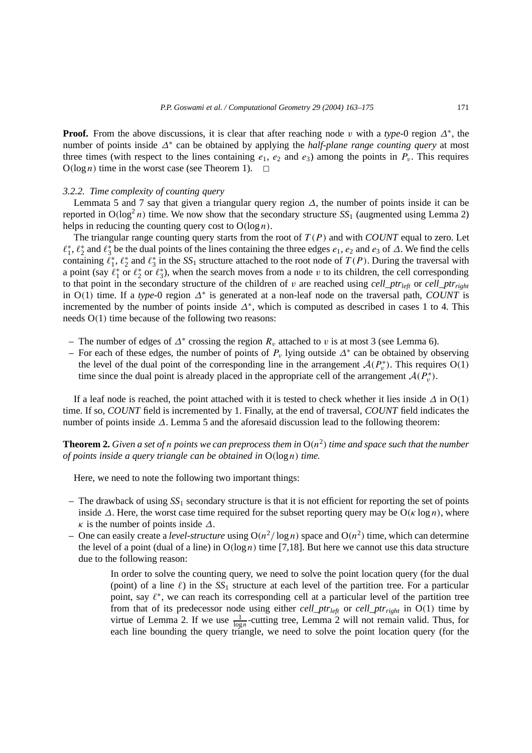**Proof.** From the above discussions, it is clear that after reaching node *v* with a *type*-0 region *∆*<sup>∗</sup>, the number of points inside *∆*<sup>∗</sup> can be obtained by applying the *half-plane range counting query* at most three times (with respect to the lines containing  $e_1$ ,  $e_2$  and  $e_3$ ) among the points in  $P_v$ . This requires  $O(log n)$  time in the worst case (see Theorem 1).  $\square$ 

## *3.2.2. Time complexity of counting query*

Lemmata 5 and 7 say that given a triangular query region *∆*, the number of points inside it can be reported in  $O(log^2 n)$  time. We now show that the secondary structure  $SS_1$  (augmented using Lemma 2) helps in reducing the counting query cost to  $O(\log n)$ .

The triangular range counting query starts from the root of *T (P )* and with *COUNT* equal to zero. Let  $\ell_1^*, \ell_2^*$  and  $\ell_3^*$  be the dual points of the lines containing the three edges  $e_1, e_2$  and  $e_3$  of  $\Delta$ . We find the cells containing  $\ell_1^*, \ell_2^*$  and  $\ell_3^*$  in the *SS*<sub>1</sub> structure attached to the root node of  $T(P)$ . During the traversal with a point (say  $\ell_1^*$  or  $\ell_2^*$  or  $\ell_3^*$ ), when the search moves from a node *v* to its children, the cell corresponding to that point in the secondary structure of the children of  $v$  are reached using *cell\_ptr<sub>left</sub>* or *cell\_ptr<sub>right</sub>* in O*(*1*)* time. If a *type*-0 region *∆*<sup>∗</sup> is generated at a non-leaf node on the traversal path, *COUNT* is incremented by the number of points inside *∆*<sup>∗</sup>, which is computed as described in cases 1 to 4. This needs O*(*1*)* time because of the following two reasons:

- The number of edges of *∆*<sup>∗</sup> crossing the region *Rv* attached to *v* is at most 3 (see Lemma 6).
- For each of these edges, the number of points of  $P_v$  lying outside  $\Delta^*$  can be obtained by observing the level of the dual point of the corresponding line in the arrangement  $A(P_v^*)$ . This requires  $O(1)$ time since the dual point is already placed in the appropriate cell of the arrangement  $A(P_v^*)$ .

If a leaf node is reached, the point attached with it is tested to check whether it lies inside  $\Delta$  in O(1) time. If so, *COUNT* field is incremented by 1. Finally, at the end of traversal, *COUNT* field indicates the number of points inside *∆*. Lemma 5 and the aforesaid discussion lead to the following theorem:

**Theorem 2.** *Given a set of n points we can preprocess them in*  $O(n^2)$  *time and space such that the number of points inside a query triangle can be obtained in* O*(*log *n) time.*

Here, we need to note the following two important things:

- The drawback of using *SS*<sup>1</sup> secondary structure is that it is not efficient for reporting the set of points inside *∆*. Here, the worst case time required for the subset reporting query may be O*(κ* log *n)*, where *κ* is the number of points inside  $\Delta$ .
- One can easily create a *level-structure* using  $O(n^2/\log n)$  space and  $O(n^2)$  time, which can determine the level of a point (dual of a line) in  $O(log n)$  time [7,18]. But here we cannot use this data structure due to the following reason:

In order to solve the counting query, we need to solve the point location query (for the dual (point) of a line  $\ell$ ) in the  $SS_1$  structure at each level of the partition tree. For a particular point, say  $\ell^*$ , we can reach its corresponding cell at a particular level of the partition tree from that of its predecessor node using either *cell\_ptr<sub>left</sub>* or *cell\_ptr<sub>right</sub>* in O(1) time by virtue of Lemma 2. If we use  $\frac{1}{\log n}$ -cutting tree, Lemma 2 will not remain valid. Thus, for each line bounding the query triangle, we need to solve the point location query (for the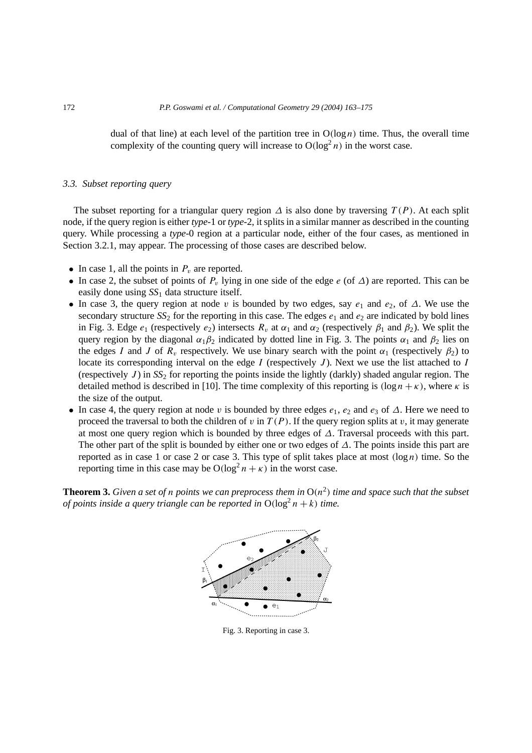dual of that line) at each level of the partition tree in  $O(log n)$  time. Thus, the overall time complexity of the counting query will increase to  $O(log^2 n)$  in the worst case.

# *3.3. Subset reporting query*

The subset reporting for a triangular query region  $\Delta$  is also done by traversing  $T(P)$ . At each split node, if the query region is either *type*-1 or *type*-2, it splits in a similar manner as described in the counting query. While processing a *type*-0 region at a particular node, either of the four cases, as mentioned in Section 3.2.1, may appear. The processing of those cases are described below.

- In case 1, all the points in  $P_v$  are reported.
- In case 2, the subset of points of  $P_v$  lying in one side of the edge  $e$  (of  $\Delta$ ) are reported. This can be easily done using *SS*<sup>1</sup> data structure itself.
- In case 3, the query region at node *v* is bounded by two edges, say *e*<sup>1</sup> and *e*2, of *∆*. We use the secondary structure  $SS_2$  for the reporting in this case. The edges  $e_1$  and  $e_2$  are indicated by bold lines in Fig. 3. Edge  $e_1$  (respectively  $e_2$ ) intersects  $R_v$  at  $\alpha_1$  and  $\alpha_2$  (respectively  $\beta_1$  and  $\beta_2$ ). We split the query region by the diagonal  $\alpha_1 \beta_2$  indicated by dotted line in Fig. 3. The points  $\alpha_1$  and  $\beta_2$  lies on the edges *I* and *J* of  $R_v$  respectively. We use binary search with the point  $\alpha_1$  (respectively  $\beta_2$ ) to locate its corresponding interval on the edge *I* (respectively *J* ). Next we use the list attached to *I* (respectively  $J$ ) in  $SS<sub>2</sub>$  for reporting the points inside the lightly (darkly) shaded angular region. The detailed method is described in [10]. The time complexity of this reporting is  $(\log n + \kappa)$ , where  $\kappa$  is the size of the output.
- In case 4, the query region at node *v* is bounded by three edges *e*1, *e*<sup>2</sup> and *e*<sup>3</sup> of *∆*. Here we need to proceed the traversal to both the children of  $v$  in  $T(P)$ . If the query region splits at  $v$ , it may generate at most one query region which is bounded by three edges of *∆*. Traversal proceeds with this part. The other part of the split is bounded by either one or two edges of *∆*. The points inside this part are reported as in case 1 or case 2 or case 3. This type of split takes place at most  $(\log n)$  time. So the reporting time in this case may be  $O(log^2 n + \kappa)$  in the worst case.

**Theorem 3.** *Given a set of n points we can preprocess them in*  $O(n^2)$  *time and space such that the subset of points inside a query triangle can be reported in*  $O(\log^2 n + k)$  *time.* 



Fig. 3. Reporting in case 3.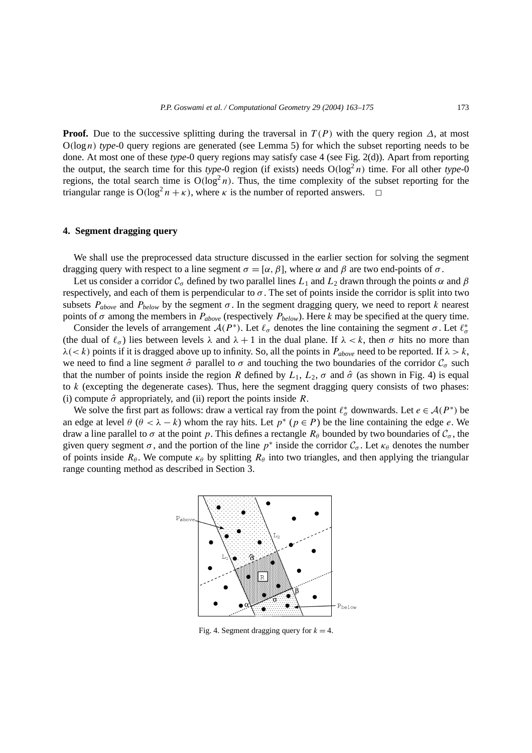**Proof.** Due to the successive splitting during the traversal in  $T(P)$  with the query region  $\Delta$ , at most  $O(log n)$  *type*-0 query regions are generated (see Lemma 5) for which the subset reporting needs to be done. At most one of these *type*-0 query regions may satisfy case 4 (see Fig. 2(d)). Apart from reporting the output, the search time for this *type*-0 region (if exists) needs  $O(log^2 n)$  time. For all other *type*-0 regions, the total search time is  $O(log^2 n)$ . Thus, the time complexity of the subset reporting for the triangular range is  $O(log^2 n + \kappa)$ , where  $\kappa$  is the number of reported answers.  $\Box$ 

## **4. Segment dragging query**

We shall use the preprocessed data structure discussed in the earlier section for solving the segment dragging query with respect to a line segment  $\sigma = [\alpha, \beta]$ , where  $\alpha$  and  $\beta$  are two end-points of  $\sigma$ .

Let us consider a corridor  $C_{\sigma}$  defined by two parallel lines  $L_1$  and  $L_2$  drawn through the points  $\alpha$  and  $\beta$ respectively, and each of them is perpendicular to  $\sigma$ . The set of points inside the corridor is split into two subsets  $P_{above}$  and  $P_{below}$  by the segment  $\sigma$ . In the segment dragging query, we need to report *k* nearest points of *σ* among the members in  $P_{above}$  (respectively  $P_{below}$ ). Here *k* may be specified at the query time.

Consider the levels of arrangement  $A(P^*)$ . Let  $\ell_{\sigma}$  denotes the line containing the segment  $\sigma$ . Let  $\ell_{\sigma}^*$ (the dual of  $\ell_{\sigma}$ ) lies between levels  $\lambda$  and  $\lambda + 1$  in the dual plane. If  $\lambda < k$ , then  $\sigma$  hits no more than *λ*(*< k*) points if it is dragged above up to infinity. So, all the points in *P*<sub>*above*</sub> need to be reported. If  $λ > k$ , we need to find a line segment  $\hat{\sigma}$  parallel to  $\sigma$  and touching the two boundaries of the corridor  $C_{\sigma}$  such that the number of points inside the region *R* defined by  $L_1$ ,  $L_2$ ,  $\sigma$  and  $\hat{\sigma}$  (as shown in Fig. 4) is equal to *k* (excepting the degenerate cases). Thus, here the segment dragging query consists of two phases: (i) compute  $\hat{\sigma}$  appropriately, and (ii) report the points inside *R*.

We solve the first part as follows: draw a vertical ray from the point  $\ell^*_{\sigma}$  downwards. Let  $e \in \mathcal{A}(P^*)$  be an edge at level  $\theta$  ( $\theta < \lambda - k$ ) whom the ray hits. Let  $p^*$  ( $p \in P$ ) be the line containing the edge *e*. We draw a line parallel to  $\sigma$  at the point *p*. This defines a rectangle  $R_\theta$  bounded by two boundaries of  $C_\sigma$ , the given query segment  $\sigma$ , and the portion of the line  $p^*$  inside the corridor  $C_{\sigma}$ . Let  $\kappa_{\theta}$  denotes the number of points inside  $R_\theta$ . We compute  $\kappa_\theta$  by splitting  $R_\theta$  into two triangles, and then applying the triangular range counting method as described in Section 3.



Fig. 4. Segment dragging query for  $k = 4$ .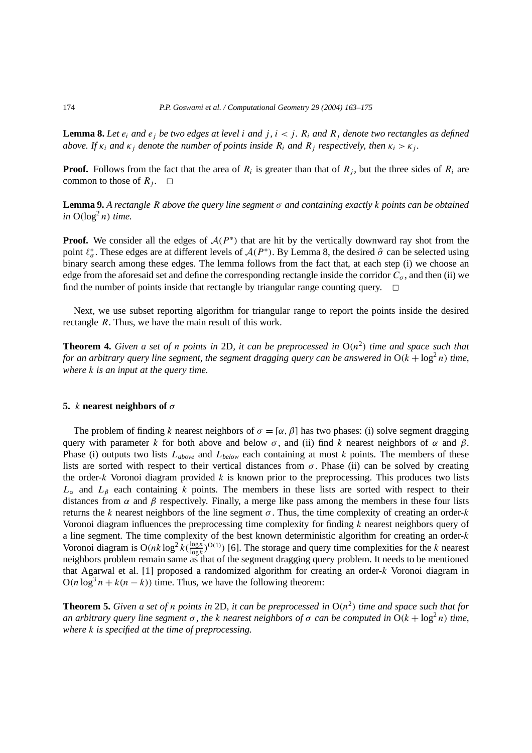**Lemma 8.** Let  $e_i$  and  $e_j$  be two edges at level *i* and *j*,  $i < j$ .  $R_i$  and  $R_j$  denote two rectangles as defined *above. If*  $\kappa_i$  *and*  $\kappa_j$  *denote the number of points inside*  $R_i$  *and*  $R_j$  *respectively, then*  $\kappa_i > \kappa_j$ *.* 

**Proof.** Follows from the fact that the area of  $R_i$  is greater than that of  $R_i$ , but the three sides of  $R_i$  are common to those of  $R_i$ .  $\Box$ 

**Lemma 9.** *A rectangle R above the query line segment σ and containing exactly k points can be obtained*  $in \space O(\log^2 n)$  *time.* 

**Proof.** We consider all the edges of  $A(P^*)$  that are hit by the vertically downward ray shot from the point  $\ell^*_{\sigma}$ . These edges are at different levels of  $A(P^*)$ . By Lemma 8, the desired  $\hat{\sigma}$  can be selected using binary search among these edges. The lemma follows from the fact that, at each step (i) we choose an edge from the aforesaid set and define the corresponding rectangle inside the corridor  $C_{\sigma}$ , and then (ii) we find the number of points inside that rectangle by triangular range counting query.  $\Box$ 

Next, we use subset reporting algorithm for triangular range to report the points inside the desired rectangle *R*. Thus, we have the main result of this work.

**Theorem 4.** *Given a set of n points in* 2D, *it can be preprocessed in*  $O(n^2)$  *time and space such that for an arbitrary query line segment, the segment dragging query can be answered in*  $O(k + \log^2 n)$  *time, where k is an input at the query time.*

### **5.** *k* **nearest neighbors of** *σ*

The problem of finding *k* nearest neighbors of  $\sigma = [\alpha, \beta]$  has two phases: (i) solve segment dragging query with parameter *k* for both above and below  $\sigma$ , and (ii) find *k* nearest neighbors of  $\alpha$  and  $\beta$ . Phase (i) outputs two lists *Labove* and *Lbelow* each containing at most *k* points. The members of these lists are sorted with respect to their vertical distances from  $\sigma$ . Phase (ii) can be solved by creating the order-*k* Voronoi diagram provided *k* is known prior to the preprocessing. This produces two lists *Lα* and *Lβ* each containing *k* points. The members in these lists are sorted with respect to their distances from  $\alpha$  and  $\beta$  respectively. Finally, a merge like pass among the members in these four lists returns the *k* nearest neighbors of the line segment *σ* . Thus, the time complexity of creating an order-*k* Voronoi diagram influences the preprocessing time complexity for finding *k* nearest neighbors query of a line segment. The time complexity of the best known deterministic algorithm for creating an order-*k* Voronoi diagram is  $O(nk \log^2 k(\frac{\log n}{\log k})^{O(1)})$  [6]. The storage and query time complexities for the *k* nearest neighbors problem remain same as that of the segment dragging query problem. It needs to be mentioned that Agarwal et al. [1] proposed a randomized algorithm for creating an order-*k* Voronoi diagram in  $O(n \log^3 n + k(n - k))$  time. Thus, we have the following theorem:

**Theorem 5.** Given a set of *n* points in 2D, it can be preprocessed in  $O(n^2)$  time and space such that for *an arbitrary query line segment*  $\sigma$ , *the k nearest neighbors of*  $\sigma$  *can be computed in*  $O(k + log^2 n)$  *time, where k is specified at the time of preprocessing.*